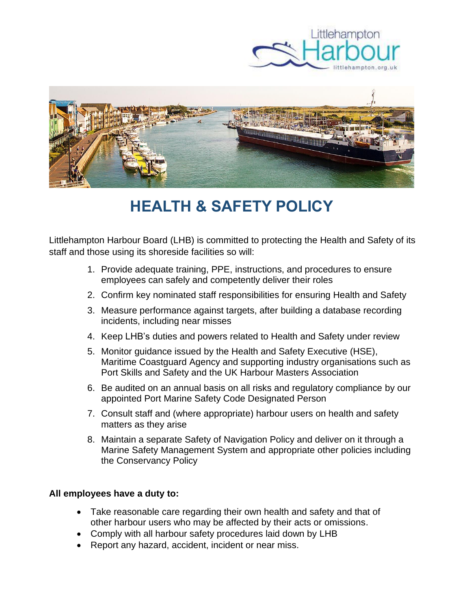



# **HEALTH & SAFETY POLICY**

Littlehampton Harbour Board (LHB) is committed to protecting the Health and Safety of its staff and those using its shoreside facilities so will:

- 1. Provide adequate training, PPE, instructions, and procedures to ensure employees can safely and competently deliver their roles
- 2. Confirm key nominated staff responsibilities for ensuring Health and Safety
- 3. Measure performance against targets, after building a database recording incidents, including near misses
- 4. Keep LHB's duties and powers related to Health and Safety under review
- 5. Monitor guidance issued by the Health and Safety Executive (HSE), Maritime Coastguard Agency and supporting industry organisations such as Port Skills and Safety and the UK Harbour Masters Association
- 6. Be audited on an annual basis on all risks and regulatory compliance by our appointed Port Marine Safety Code Designated Person
- 7. Consult staff and (where appropriate) harbour users on health and safety matters as they arise
- 8. Maintain a separate Safety of Navigation Policy and deliver on it through a Marine Safety Management System and appropriate other policies including the Conservancy Policy

## **All employees have a duty to:**

- Take reasonable care regarding their own health and safety and that of other harbour users who may be affected by their acts or omissions.
- Comply with all harbour safety procedures laid down by LHB
- Report any hazard, accident, incident or near miss.